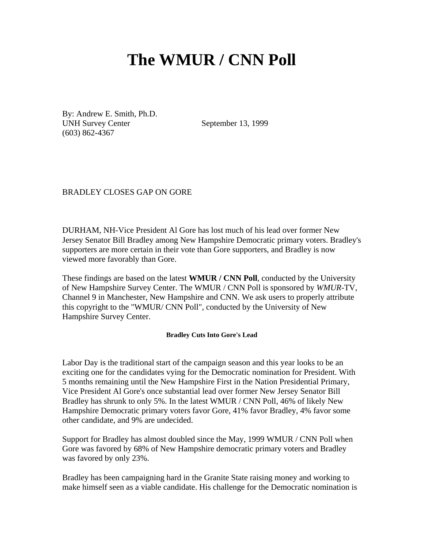# **The WMUR / CNN Poll**

By: Andrew E. Smith, Ph.D. UNH Survey Center (603) 862-4367

September 13, 1999

BRADLEY CLOSES GAP ON GORE

DURHAM, NH-Vice President Al Gore has lost much of his lead over former New Jersey Senator Bill Bradley among New Hampshire Democratic primary voters. Bradley's supporters are more certain in their vote than Gore supporters, and Bradley is now viewed more favorably than Gore.

These findings are based on the latest **WMUR / CNN Poll**, conducted by the University of New Hampshire Survey Center. The WMUR / CNN Poll is sponsored by *WMUR*-TV, Channel 9 in Manchester, New Hampshire and CNN. We ask users to properly attribute this copyright to the "WMUR/ CNN Poll", conducted by the University of New Hampshire Survey Center.

#### **Bradley Cuts Into Gore's Lead**

Labor Day is the traditional start of the campaign season and this year looks to be an exciting one for the candidates vying for the Democratic nomination for President. With 5 months remaining until the New Hampshire First in the Nation Presidential Primary, Vice President Al Gore's once substantial lead over former New Jersey Senator Bill Bradley has shrunk to only 5%. In the latest WMUR / CNN Poll, 46% of likely New Hampshire Democratic primary voters favor Gore, 41% favor Bradley, 4% favor some other candidate, and 9% are undecided.

Support for Bradley has almost doubled since the May, 1999 WMUR / CNN Poll when Gore was favored by 68% of New Hampshire democratic primary voters and Bradley was favored by only 23%.

Bradley has been campaigning hard in the Granite State raising money and working to make himself seen as a viable candidate. His challenge for the Democratic nomination is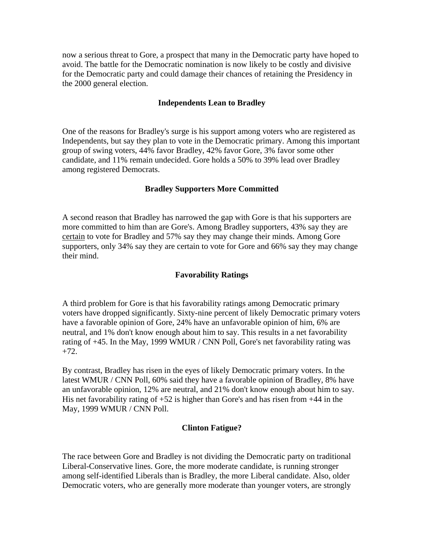now a serious threat to Gore, a prospect that many in the Democratic party have hoped to avoid. The battle for the Democratic nomination is now likely to be costly and divisive for the Democratic party and could damage their chances of retaining the Presidency in the 2000 general election.

## **Independents Lean to Bradley**

One of the reasons for Bradley's surge is his support among voters who are registered as Independents, but say they plan to vote in the Democratic primary. Among this important group of swing voters, 44% favor Bradley, 42% favor Gore, 3% favor some other candidate, and 11% remain undecided. Gore holds a 50% to 39% lead over Bradley among registered Democrats.

## **Bradley Supporters More Committed**

A second reason that Bradley has narrowed the gap with Gore is that his supporters are more committed to him than are Gore's. Among Bradley supporters, 43% say they are certain to vote for Bradley and 57% say they may change their minds. Among Gore supporters, only 34% say they are certain to vote for Gore and 66% say they may change their mind.

#### **Favorability Ratings**

A third problem for Gore is that his favorability ratings among Democratic primary voters have dropped significantly. Sixty-nine percent of likely Democratic primary voters have a favorable opinion of Gore, 24% have an unfavorable opinion of him, 6% are neutral, and 1% don't know enough about him to say. This results in a net favorability rating of +45. In the May, 1999 WMUR / CNN Poll, Gore's net favorability rating was  $+72.$ 

By contrast, Bradley has risen in the eyes of likely Democratic primary voters. In the latest WMUR / CNN Poll, 60% said they have a favorable opinion of Bradley, 8% have an unfavorable opinion, 12% are neutral, and 21% don't know enough about him to say. His net favorability rating of  $+52$  is higher than Gore's and has risen from  $+44$  in the May, 1999 WMUR / CNN Poll.

#### **Clinton Fatigue?**

The race between Gore and Bradley is not dividing the Democratic party on traditional Liberal-Conservative lines. Gore, the more moderate candidate, is running stronger among self-identified Liberals than is Bradley, the more Liberal candidate. Also, older Democratic voters, who are generally more moderate than younger voters, are strongly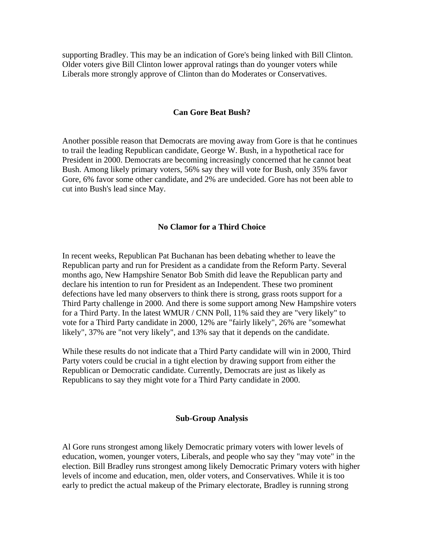supporting Bradley. This may be an indication of Gore's being linked with Bill Clinton. Older voters give Bill Clinton lower approval ratings than do younger voters while Liberals more strongly approve of Clinton than do Moderates or Conservatives.

#### **Can Gore Beat Bush?**

Another possible reason that Democrats are moving away from Gore is that he continues to trail the leading Republican candidate, George W. Bush, in a hypothetical race for President in 2000. Democrats are becoming increasingly concerned that he cannot beat Bush. Among likely primary voters, 56% say they will vote for Bush, only 35% favor Gore, 6% favor some other candidate, and 2% are undecided. Gore has not been able to cut into Bush's lead since May.

## **No Clamor for a Third Choice**

In recent weeks, Republican Pat Buchanan has been debating whether to leave the Republican party and run for President as a candidate from the Reform Party. Several months ago, New Hampshire Senator Bob Smith did leave the Republican party and declare his intention to run for President as an Independent. These two prominent defections have led many observers to think there is strong, grass roots support for a Third Party challenge in 2000. And there is some support among New Hampshire voters for a Third Party. In the latest WMUR / CNN Poll, 11% said they are "very likely" to vote for a Third Party candidate in 2000, 12% are "fairly likely", 26% are "somewhat likely", 37% are "not very likely", and 13% say that it depends on the candidate.

While these results do not indicate that a Third Party candidate will win in 2000, Third Party voters could be crucial in a tight election by drawing support from either the Republican or Democratic candidate. Currently, Democrats are just as likely as Republicans to say they might vote for a Third Party candidate in 2000.

#### **Sub-Group Analysis**

Al Gore runs strongest among likely Democratic primary voters with lower levels of education, women, younger voters, Liberals, and people who say they "may vote" in the election. Bill Bradley runs strongest among likely Democratic Primary voters with higher levels of income and education, men, older voters, and Conservatives. While it is too early to predict the actual makeup of the Primary electorate, Bradley is running strong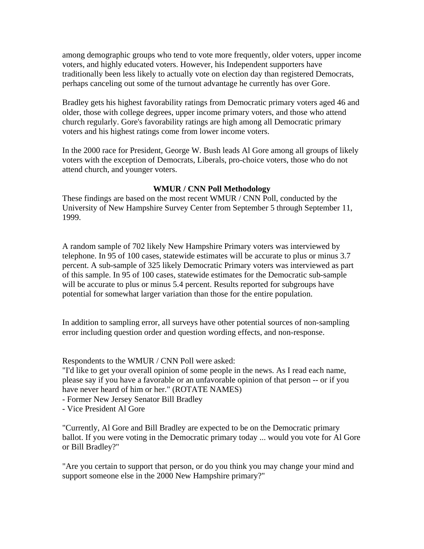among demographic groups who tend to vote more frequently, older voters, upper income voters, and highly educated voters. However, his Independent supporters have traditionally been less likely to actually vote on election day than registered Democrats, perhaps canceling out some of the turnout advantage he currently has over Gore.

Bradley gets his highest favorability ratings from Democratic primary voters aged 46 and older, those with college degrees, upper income primary voters, and those who attend church regularly. Gore's favorability ratings are high among all Democratic primary voters and his highest ratings come from lower income voters.

In the 2000 race for President, George W. Bush leads Al Gore among all groups of likely voters with the exception of Democrats, Liberals, pro-choice voters, those who do not attend church, and younger voters.

## **WMUR / CNN Poll Methodology**

These findings are based on the most recent WMUR / CNN Poll, conducted by the University of New Hampshire Survey Center from September 5 through September 11, 1999.

A random sample of 702 likely New Hampshire Primary voters was interviewed by telephone. In 95 of 100 cases, statewide estimates will be accurate to plus or minus 3.7 percent. A sub-sample of 325 likely Democratic Primary voters was interviewed as part of this sample. In 95 of 100 cases, statewide estimates for the Democratic sub-sample will be accurate to plus or minus 5.4 percent. Results reported for subgroups have potential for somewhat larger variation than those for the entire population.

In addition to sampling error, all surveys have other potential sources of non-sampling error including question order and question wording effects, and non-response.

Respondents to the WMUR / CNN Poll were asked:

"I'd like to get your overall opinion of some people in the news. As I read each name, please say if you have a favorable or an unfavorable opinion of that person -- or if you have never heard of him or her." (ROTATE NAMES)

- Former New Jersey Senator Bill Bradley

- Vice President Al Gore

"Currently, Al Gore and Bill Bradley are expected to be on the Democratic primary ballot. If you were voting in the Democratic primary today ... would you vote for Al Gore or Bill Bradley?"

"Are you certain to support that person, or do you think you may change your mind and support someone else in the 2000 New Hampshire primary?"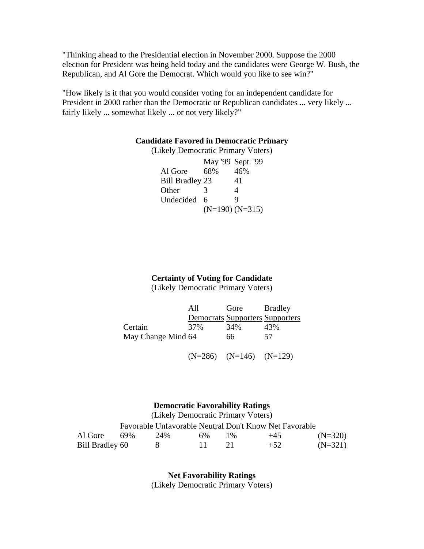"Thinking ahead to the Presidential election in November 2000. Suppose the 2000 election for President was being held today and the candidates were George W. Bush, the Republican, and Al Gore the Democrat. Which would you like to see win?"

"How likely is it that you would consider voting for an independent candidate for President in 2000 rather than the Democratic or Republican candidates ... very likely ... fairly likely ... somewhat likely ... or not very likely?"

#### **Candidate Favored in Democratic Primary**

| (Likely Democratic Primary Voters) |     |                     |
|------------------------------------|-----|---------------------|
|                                    |     | May '99 Sept. '99   |
| Al Gore                            | 68% | 46%                 |
| <b>Bill Bradley 23</b>             |     | 41                  |
| Other                              |     | 4                   |
| Undecided                          | 6   |                     |
|                                    |     | $(N=190)$ $(N=315)$ |

# **Certainty of Voting for Candidate**

(Likely Democratic Primary Voters)

|                    | All | Gore                                   | <b>Bradley</b> |
|--------------------|-----|----------------------------------------|----------------|
|                    |     | <b>Democrats Supporters Supporters</b> |                |
| Certain            | 37% | 34%                                    | 43%            |
| May Change Mind 64 |     | 66                                     | 57             |

(N=286) (N=146) (N=129)

#### **Democratic Favorability Ratings**

(Likely Democratic Primary Voters)

|                 |     |     |    |       | Favorable Unfavorable Neutral Don't Know Net Favorable |           |
|-----------------|-----|-----|----|-------|--------------------------------------------------------|-----------|
| Al Gore         | 69% | 24% | 6% | $1\%$ | $+45$                                                  | $(N=320)$ |
| Bill Bradley 60 |     |     |    |       | $+52$                                                  | $(N=321)$ |

**Net Favorability Ratings** (Likely Democratic Primary Voters)